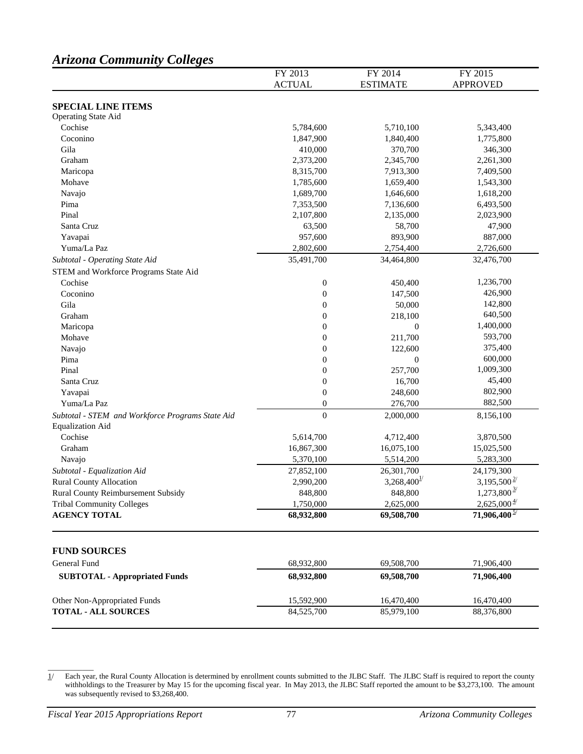# *Arizona Community Colleges*

|                                                  | FY 2013                | FY 2014                   | FY 2015                   |
|--------------------------------------------------|------------------------|---------------------------|---------------------------|
|                                                  | <b>ACTUAL</b>          | <b>ESTIMATE</b>           | <b>APPROVED</b>           |
|                                                  |                        |                           |                           |
| <b>SPECIAL LINE ITEMS</b><br>Operating State Aid |                        |                           |                           |
| Cochise                                          | 5,784,600              | 5,710,100                 | 5,343,400                 |
| Coconino                                         | 1,847,900              | 1,840,400                 | 1,775,800                 |
| Gila                                             | 410,000                | 370,700                   | 346,300                   |
| Graham                                           |                        |                           |                           |
|                                                  | 2,373,200<br>8,315,700 | 2,345,700<br>7,913,300    | 2,261,300                 |
| Maricopa<br>Mohave                               | 1,785,600              | 1,659,400                 | 7,409,500<br>1,543,300    |
|                                                  | 1,689,700              |                           |                           |
| Navajo                                           |                        | 1,646,600                 | 1,618,200                 |
| Pima                                             | 7,353,500              | 7,136,600                 | 6,493,500                 |
| Pinal                                            | 2,107,800              | 2,135,000                 | 2,023,900                 |
| Santa Cruz                                       | 63,500                 | 58,700                    | 47,900                    |
| Yavapai                                          | 957,600                | 893,900                   | 887,000                   |
| Yuma/La Paz                                      | 2,802,600              | 2,754,400                 | 2,726,600                 |
| Subtotal - Operating State Aid                   | 35,491,700             | 34,464,800                | 32,476,700                |
| STEM and Workforce Programs State Aid            |                        |                           |                           |
| Cochise                                          | $\boldsymbol{0}$       | 450,400                   | 1,236,700                 |
| Coconino                                         | $\boldsymbol{0}$       | 147,500                   | 426,900                   |
| Gila                                             | $\boldsymbol{0}$       | 50,000                    | 142,800                   |
| Graham                                           | $\boldsymbol{0}$       | 218,100                   | 640,500                   |
| Maricopa                                         | $\boldsymbol{0}$       | $\boldsymbol{0}$          | 1,400,000                 |
| Mohave                                           | $\boldsymbol{0}$       | 211,700                   | 593,700                   |
| Navajo                                           | $\boldsymbol{0}$       | 122,600                   | 375,400                   |
| Pima                                             | $\overline{0}$         | $\boldsymbol{0}$          | 600,000                   |
| Pinal                                            | $\overline{0}$         | 257,700                   | 1,009,300                 |
| Santa Cruz                                       | $\boldsymbol{0}$       | 16,700                    | 45,400                    |
| Yavapai                                          | $\boldsymbol{0}$       | 248,600                   | 802,900                   |
| Yuma/La Paz                                      | $\boldsymbol{0}$       | 276,700                   | 882,500                   |
| Subtotal - STEM and Workforce Programs State Aid | $\boldsymbol{0}$       | 2,000,000                 | 8,156,100                 |
| <b>Equalization Aid</b>                          |                        |                           |                           |
| Cochise                                          | 5,614,700              | 4,712,400                 | 3,870,500                 |
| Graham                                           | 16,867,300             | 16,075,100                | 15,025,500                |
| Navajo                                           | 5,370,100              | 5,514,200                 | 5,283,300                 |
| Subtotal - Equalization Aid                      | 27,852,100             | 26,301,700                | 24,179,300                |
| <b>Rural County Allocation</b>                   | 2,990,200              | $3,268,400^{\frac{1}{2}}$ | $3,195,500^{\frac{2}{5}}$ |
| Rural County Reimbursement Subsidy               | 848,800                | 848,800                   | $1,273,800^{\frac{3}{2}}$ |
| <b>Tribal Community Colleges</b>                 | 1,750,000              | 2,625,000                 | $2,625,000\frac{4}{1}$    |
| <b>AGENCY TOTAL</b>                              | 68,932,800             | 69,508,700                | $71,906,400\frac{5}{2}$   |
|                                                  |                        |                           |                           |
| <b>FUND SOURCES</b>                              |                        |                           |                           |
| General Fund                                     | 68,932,800             | 69,508,700                | 71,906,400                |
| <b>SUBTOTAL - Appropriated Funds</b>             | 68,932,800             | 69,508,700                | 71,906,400                |
| Other Non-Appropriated Funds                     | 15,592,900             | 16,470,400                | 16,470,400                |
| <b>TOTAL - ALL SOURCES</b>                       | 84,525,700             | 85,979,100                | 88,376,800                |
|                                                  |                        |                           |                           |

 $\overline{\phantom{a}}$ 

<sup>1/</sup> Each year, the Rural County Allocation is determined by enrollment counts submitted to the JLBC Staff. The JLBC Staff is required to report the county withholdings to the Treasurer by May 15 for the upcoming fiscal year. In May 2013, the JLBC Staff reported the amount to be \$3,273,100. The amount was subsequently revised to \$3,268,400.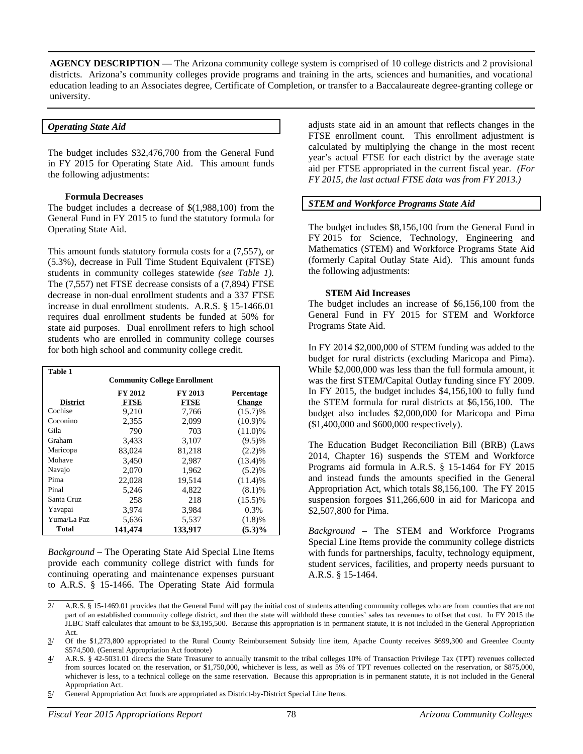**AGENCY DESCRIPTION —** The Arizona community college system is comprised of 10 college districts and 2 provisional districts. Arizona's community colleges provide programs and training in the arts, sciences and humanities, and vocational education leading to an Associates degree, Certificate of Completion, or transfer to a Baccalaureate degree-granting college or university.

#### *Operating State Aid*

The budget includes \$32,476,700 from the General Fund in FY 2015 for Operating State Aid. This amount funds the following adjustments:

#### **Formula Decreases**

The budget includes a decrease of \$(1,988,100) from the General Fund in FY 2015 to fund the statutory formula for Operating State Aid.

This amount funds statutory formula costs for a (7,557), or (5.3%), decrease in Full Time Student Equivalent (FTSE) students in community colleges statewide *(see Table 1).* The (7,557) net FTSE decrease consists of a (7,894) FTSE decrease in non-dual enrollment students and a 337 FTSE increase in dual enrollment students. A.R.S. § 15-1466.01 requires dual enrollment students be funded at 50% for state aid purposes. Dual enrollment refers to high school students who are enrolled in community college courses for both high school and community college credit.

| Table 1                             |                                  |             |               |  |  |  |
|-------------------------------------|----------------------------------|-------------|---------------|--|--|--|
| <b>Community College Enrollment</b> |                                  |             |               |  |  |  |
|                                     | FY 2013<br>FY 2012<br>Percentage |             |               |  |  |  |
| <b>District</b>                     | <b>FTSE</b>                      | <b>FTSE</b> | <b>Change</b> |  |  |  |
| Cochise                             | 9,210                            | 7,766       | $(15.7)\%$    |  |  |  |
| Coconino                            | 2,355                            | 2,099       | (10.9)%       |  |  |  |
| Gila                                | 790                              | 703         | $(11.0)\%$    |  |  |  |
| Graham                              | 3,433                            | 3,107       | $(9.5)\%$     |  |  |  |
| Maricopa                            | 83,024                           | 81.218      | (2.2)%        |  |  |  |
| Mohave                              | 3,450                            | 2,987       | $(13.4)\%$    |  |  |  |
| Navajo                              | 2.070                            | 1,962       | (5.2)%        |  |  |  |
| Pima                                | 22,028                           | 19.514      | (11.4)%       |  |  |  |
| Pinal                               | 5,246                            | 4,822       | (8.1)%        |  |  |  |
| Santa Cruz                          | 258                              | 218         | $(15.5)\%$    |  |  |  |
| Yavapai                             | 3,974                            | 3,984       | 0.3%          |  |  |  |
| Yuma/La Paz                         | 5,636                            | 5,537       | (1.8)%        |  |  |  |
| Total                               | 141.474                          | 133,917     | $(5.3)\%$     |  |  |  |

*Background* – The Operating State Aid Special Line Items provide each community college district with funds for continuing operating and maintenance expenses pursuant to A.R.S. § 15-1466. The Operating State Aid formula adjusts state aid in an amount that reflects changes in the FTSE enrollment count. This enrollment adjustment is calculated by multiplying the change in the most recent year's actual FTSE for each district by the average state aid per FTSE appropriated in the current fiscal year. *(For FY 2015, the last actual FTSE data was from FY 2013.)* 

## *STEM and Workforce Programs State Aid*

The budget includes \$8,156,100 from the General Fund in FY 2015 for Science, Technology, Engineering and Mathematics (STEM) and Workforce Programs State Aid (formerly Capital Outlay State Aid). This amount funds the following adjustments:

### **STEM Aid Increases**

The budget includes an increase of \$6,156,100 from the General Fund in FY 2015 for STEM and Workforce Programs State Aid.

In FY 2014 \$2,000,000 of STEM funding was added to the budget for rural districts (excluding Maricopa and Pima). While \$2,000,000 was less than the full formula amount, it was the first STEM/Capital Outlay funding since FY 2009. In FY 2015, the budget includes \$4,156,100 to fully fund the STEM formula for rural districts at \$6,156,100. The budget also includes \$2,000,000 for Maricopa and Pima (\$1,400,000 and \$600,000 respectively).

The Education Budget Reconciliation Bill (BRB) (Laws 2014, Chapter 16) suspends the STEM and Workforce Programs aid formula in A.R.S. § 15-1464 for FY 2015 and instead funds the amounts specified in the General Appropriation Act, which totals \$8,156,100. The FY 2015 suspension forgoes \$11,266,600 in aid for Maricopa and \$2,507,800 for Pima.

*Background* – The STEM and Workforce Programs Special Line Items provide the community college districts with funds for partnerships, faculty, technology equipment, student services, facilities, and property needs pursuant to A.R.S. § 15-1464.

\_\_\_\_\_\_\_\_\_\_\_\_

<sup>2/</sup> A.R.S. § 15-1469.01 provides that the General Fund will pay the initial cost of students attending community colleges who are from counties that are not part of an established community college district, and then the state will withhold these counties' sales tax revenues to offset that cost. In FY 2015 the JLBC Staff calculates that amount to be \$3,195,500. Because this appropriation is in permanent statute, it is not included in the General Appropriation Act.

<sup>3/</sup> Of the \$1,273,800 appropriated to the Rural County Reimbursement Subsidy line item, Apache County receives \$699,300 and Greenlee County \$574,500. (General Appropriation Act footnote)

<sup>4/</sup> A.R.S. § 42-5031.01 directs the State Treasurer to annually transmit to the tribal colleges 10% of Transaction Privilege Tax (TPT) revenues collected from sources located on the reservation, or \$1,750,000, whichever is less, as well as 5% of TPT revenues collected on the reservation, or \$875,000, whichever is less, to a technical college on the same reservation. Because this appropriation is in permanent statute, it is not included in the General Appropriation Act.

<sup>5/</sup> General Appropriation Act funds are appropriated as District-by-District Special Line Items.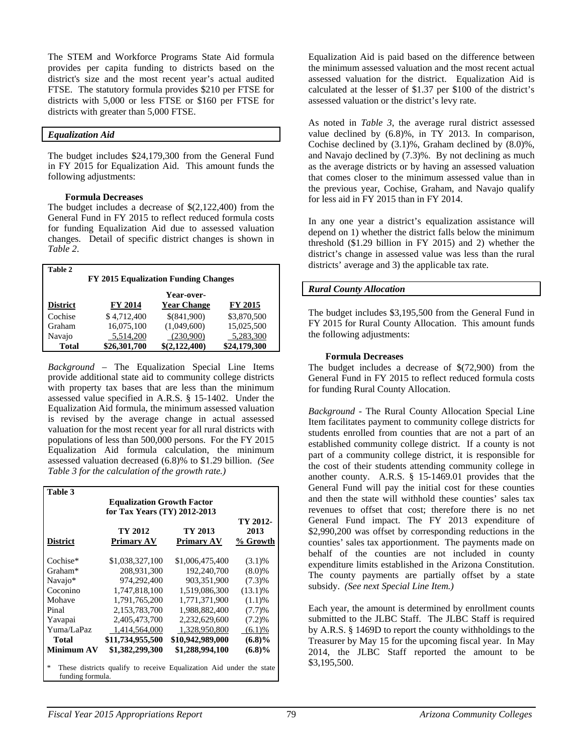The STEM and Workforce Programs State Aid formula provides per capita funding to districts based on the district's size and the most recent year's actual audited FTSE. The statutory formula provides \$210 per FTSE for districts with 5,000 or less FTSE or \$160 per FTSE for districts with greater than 5,000 FTSE.

### *Equalization Aid*

The budget includes \$24,179,300 from the General Fund in FY 2015 for Equalization Aid. This amount funds the following adjustments:

## **Formula Decreases**

The budget includes a decrease of \$(2,122,400) from the General Fund in FY 2015 to reflect reduced formula costs for funding Equalization Aid due to assessed valuation changes. Detail of specific district changes is shown in *Table 2*.

| <b>Table 2</b>                              |                |                    |                |  |  |
|---------------------------------------------|----------------|--------------------|----------------|--|--|
| <b>FY 2015 Equalization Funding Changes</b> |                |                    |                |  |  |
|                                             |                | Year-over-         |                |  |  |
| <b>District</b>                             | <b>FY 2014</b> | <b>Year Change</b> | <b>FY 2015</b> |  |  |
| Cochise                                     | \$4,712,400    | \$(841,900)        | \$3,870,500    |  |  |
| Graham                                      | 16,075,100     | (1,049,600)        | 15,025,500     |  |  |
| Navajo                                      | 5,514,200      | (230,900)          | 5,283,300      |  |  |
| <b>Total</b>                                | \$26,301,700   | \$(2,122,400)      | \$24,179,300   |  |  |

*Background* – The Equalization Special Line Items provide additional state aid to community college districts with property tax bases that are less than the minimum assessed value specified in A.R.S. § 15-1402. Under the Equalization Aid formula, the minimum assessed valuation is revised by the average change in actual assessed valuation for the most recent year for all rural districts with populations of less than 500,000 persons. For the FY 2015 Equalization Aid formula calculation, the minimum assessed valuation decreased (6.8)% to \$1.29 billion. *(See Table 3 for the calculation of the growth rate.)* 

| Table 3                                                                  |                              |                  |            |  |  |
|--------------------------------------------------------------------------|------------------------------|------------------|------------|--|--|
| <b>Equalization Growth Factor</b>                                        |                              |                  |            |  |  |
|                                                                          | for Tax Years (TY) 2012-2013 |                  |            |  |  |
|                                                                          |                              |                  | TY 2012-   |  |  |
|                                                                          | TY 2012                      | TY 2013          | 2013       |  |  |
| District                                                                 | Primary AV                   | Primary AV       | % Growth   |  |  |
|                                                                          |                              |                  |            |  |  |
| Cochise*                                                                 | \$1,038,327,100              | \$1,006,475,400  | $(3.1)\%$  |  |  |
| Graham*                                                                  | 208.931.300                  | 192,240,700      | $(8.0)\%$  |  |  |
| Navajo*                                                                  | 974,292,400                  | 903,351,900      | $(7.3)\%$  |  |  |
| Coconino                                                                 | 1,747,818,100                | 1,519,086,300    | $(13.1)\%$ |  |  |
| Mohave                                                                   | 1,791,765,200                | 1,771,371,900    | (1.1)%     |  |  |
| Pinal                                                                    | 2,153,783,700                | 1,988,882,400    | (7.7)%     |  |  |
| Yavapai                                                                  | 2,405,473,700                | 2,232,629,600    | (7.2)%     |  |  |
| Yuma/LaPaz                                                               | 1,414,564,000                | 1,328,950,800    | (6.1)%     |  |  |
| <b>Total</b>                                                             | \$11,734,955,500             | \$10,942,989,000 | $(6.8)\%$  |  |  |
| Minimum AV                                                               | \$1,382,299,300              | \$1,288,994,100  | $(6.8)\%$  |  |  |
|                                                                          |                              |                  |            |  |  |
| 家<br>These districts qualify to receive Equalization Aid under the state |                              |                  |            |  |  |
| funding formula.                                                         |                              |                  |            |  |  |

Equalization Aid is paid based on the difference between the minimum assessed valuation and the most recent actual assessed valuation for the district. Equalization Aid is calculated at the lesser of \$1.37 per \$100 of the district's assessed valuation or the district's levy rate.

As noted in *Table 3*, the average rural district assessed value declined by (6.8)%, in TY 2013. In comparison, Cochise declined by (3.1)%, Graham declined by (8.0)%, and Navajo declined by (7.3)%. By not declining as much as the average districts or by having an assessed valuation that comes closer to the minimum assessed value than in the previous year, Cochise, Graham, and Navajo qualify for less aid in FY 2015 than in FY 2014.

In any one year a district's equalization assistance will depend on 1) whether the district falls below the minimum threshold (\$1.29 billion in FY 2015) and 2) whether the district's change in assessed value was less than the rural districts' average and 3) the applicable tax rate.

## *Rural County Allocation*

The budget includes \$3,195,500 from the General Fund in FY 2015 for Rural County Allocation. This amount funds the following adjustments:

## **Formula Decreases**

The budget includes a decrease of \$(72,900) from the General Fund in FY 2015 to reflect reduced formula costs for funding Rural County Allocation.

*Background -* The Rural County Allocation Special Line Item facilitates payment to community college districts for students enrolled from counties that are not a part of an established community college district. If a county is not part of a community college district, it is responsible for the cost of their students attending community college in another county. A.R.S. § 15-1469.01 provides that the General Fund will pay the initial cost for these counties and then the state will withhold these counties' sales tax revenues to offset that cost; therefore there is no net General Fund impact. The FY 2013 expenditure of \$2,990,200 was offset by corresponding reductions in the counties' sales tax apportionment. The payments made on behalf of the counties are not included in county expenditure limits established in the Arizona Constitution. The county payments are partially offset by a state subsidy. *(See next Special Line Item.)*

Each year, the amount is determined by enrollment counts submitted to the JLBC Staff. The JLBC Staff is required by A.R.S. § 1469D to report the county withholdings to the Treasurer by May 15 for the upcoming fiscal year. In May 2014, the JLBC Staff reported the amount to be \$3,195,500.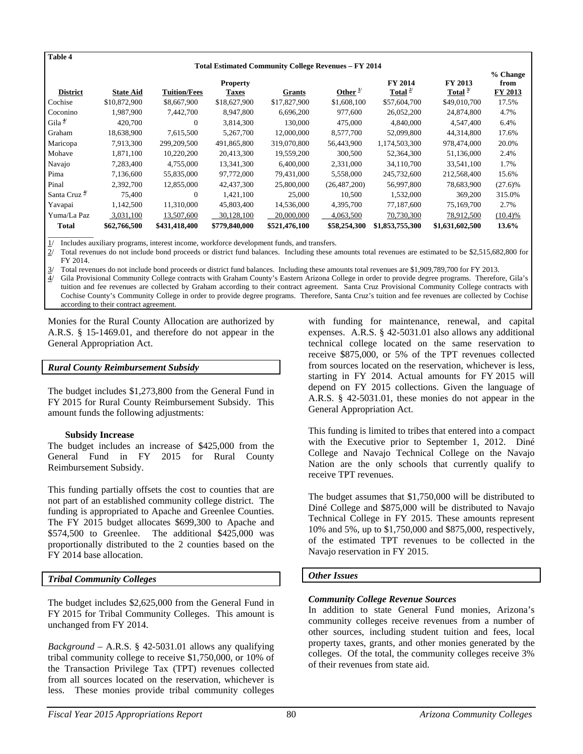| Table 4                  |                  |                     |                                 |                                                                              |                     |                          |                       |                             |
|--------------------------|------------------|---------------------|---------------------------------|------------------------------------------------------------------------------|---------------------|--------------------------|-----------------------|-----------------------------|
| <b>District</b>          | <b>State Aid</b> | <b>Tuition/Fees</b> | <b>Property</b><br><b>Taxes</b> | <b>Total Estimated Community College Revenues - FY 2014</b><br><b>Grants</b> | Other $\frac{1}{2}$ | FY 2014<br>Total $^{2/}$ | FY 2013<br>Total $3/$ | % Change<br>from<br>FY 2013 |
| Cochise                  | \$10,872,900     | \$8,667,900         | \$18,627,900                    | \$17,827,900                                                                 | \$1,608,100         | \$57,604,700             | \$49,010,700          | 17.5%                       |
| Coconino                 | 1,987,900        | 7,442,700           | 8,947,800                       | 6,696,200                                                                    | 977,600             | 26,052,200               | 24,874,800            | 4.7%                        |
| Gila $\frac{4}{3}$       | 420,700          | $\Omega$            | 3,814,300                       | 130,000                                                                      | 475,000             | 4,840,000                | 4,547,400             | 6.4%                        |
| Graham                   | 18,638,900       | 7,615,500           | 5,267,700                       | 12,000,000                                                                   | 8,577,700           | 52,099,800               | 44,314,800            | 17.6%                       |
| Maricopa                 | 7,913,300        | 299,209,500         | 491,865,800                     | 319,070,800                                                                  | 56,443,900          | 1,174,503,300            | 978,474,000           | 20.0%                       |
| Mohave                   | 1,871,100        | 10,220,200          | 20,413,300                      | 19,559,200                                                                   | 300,500             | 52,364,300               | 51,136,000            | 2.4%                        |
| Navajo                   | 7,283,400        | 4,755,000           | 13,341,300                      | 6.400,000                                                                    | 2,331,000           | 34,110,700               | 33,541,100            | 1.7%                        |
| Pima                     | 7,136,600        | 55,835,000          | 97,772,000                      | 79,431,000                                                                   | 5,558,000           | 245,732,600              | 212,568,400           | 15.6%                       |
| Pinal                    | 2,392,700        | 12,855,000          | 42,437,300                      | 25,800,000                                                                   | (26, 487, 200)      | 56,997,800               | 78,683,900            | $(27.6)\%$                  |
| Santa Cruz <sup>4/</sup> | 75,400           | $\theta$            | 1,421,100                       | 25,000                                                                       | 10,500              | 1,532,000                | 369,200               | 315.0%                      |
| Yavapai                  | 1,142,500        | 11,310,000          | 45,803,400                      | 14,536,000                                                                   | 4,395,700           | 77,187,600               | 75,169,700            | 2.7%                        |
| Yuma/La Paz              | 3,031,100        | 13,507,600          | 30,128,100                      | 20,000,000                                                                   | 4,063,500           | 70,730,300               | 78,912,500            | (10.4)%                     |
| <b>Total</b>             | \$62,766,500     | \$431,418,400       | \$779,840,000                   | \$521,476,100                                                                | \$58,254,300        | \$1,853,755,300          | \$1,631,602,500       | 13.6%                       |

1/ Includes auxiliary programs, interest income, workforce development funds, and transfers.

2/ Total revenues do not include bond proceeds or district fund balances. Including these amounts total revenues are estimated to be \$2,515,682,800 for FY 2014.

3/ Total revenues do not include bond proceeds or district fund balances. Including these amounts total revenues are \$1,909,789,700 for FY 2013.

4/ Gila Provisional Community College contracts with Graham County's Eastern Arizona College in order to provide degree programs. Therefore, Gila's tuition and fee revenues are collected by Graham according to their contract agreement. Santa Cruz Provisional Community College contracts with Cochise County's Community College in order to provide degree programs. Therefore, Santa Cruz's tuition and fee revenues are collected by Cochise according to their contract agreement.

Monies for the Rural County Allocation are authorized by A.R.S. § 15-1469.01, and therefore do not appear in the General Appropriation Act.

### *Rural County Reimbursement Subsidy*

The budget includes \$1,273,800 from the General Fund in FY 2015 for Rural County Reimbursement Subsidy. This amount funds the following adjustments:

#### **Subsidy Increase**

The budget includes an increase of \$425,000 from the General Fund in FY 2015 for Rural County Reimbursement Subsidy.

This funding partially offsets the cost to counties that are not part of an established community college district. The funding is appropriated to Apache and Greenlee Counties. The FY 2015 budget allocates \$699,300 to Apache and \$574,500 to Greenlee. The additional \$425,000 was proportionally distributed to the 2 counties based on the FY 2014 base allocation.

## *Tribal Community Colleges*

The budget includes \$2,625,000 from the General Fund in FY 2015 for Tribal Community Colleges. This amount is unchanged from FY 2014.

*Background* – A.R.S. § 42-5031.01 allows any qualifying tribal community college to receive \$1,750,000, or 10% of the Transaction Privilege Tax (TPT) revenues collected from all sources located on the reservation, whichever is less. These monies provide tribal community colleges with funding for maintenance, renewal, and capital expenses. A.R.S. § 42-5031.01 also allows any additional technical college located on the same reservation to receive \$875,000, or 5% of the TPT revenues collected from sources located on the reservation, whichever is less, starting in FY 2014. Actual amounts for FY 2015 will depend on FY 2015 collections. Given the language of A.R.S. § 42-5031.01, these monies do not appear in the General Appropriation Act.

This funding is limited to tribes that entered into a compact with the Executive prior to September 1, 2012. Diné College and Navajo Technical College on the Navajo Nation are the only schools that currently qualify to receive TPT revenues.

The budget assumes that \$1,750,000 will be distributed to Diné College and \$875,000 will be distributed to Navajo Technical College in FY 2015. These amounts represent 10% and 5%, up to \$1,750,000 and \$875,000, respectively, of the estimated TPT revenues to be collected in the Navajo reservation in FY 2015.

## *Other Issues*

## *Community College Revenue Sources*

In addition to state General Fund monies, Arizona's community colleges receive revenues from a number of other sources, including student tuition and fees, local property taxes, grants, and other monies generated by the colleges. Of the total, the community colleges receive 3% of their revenues from state aid.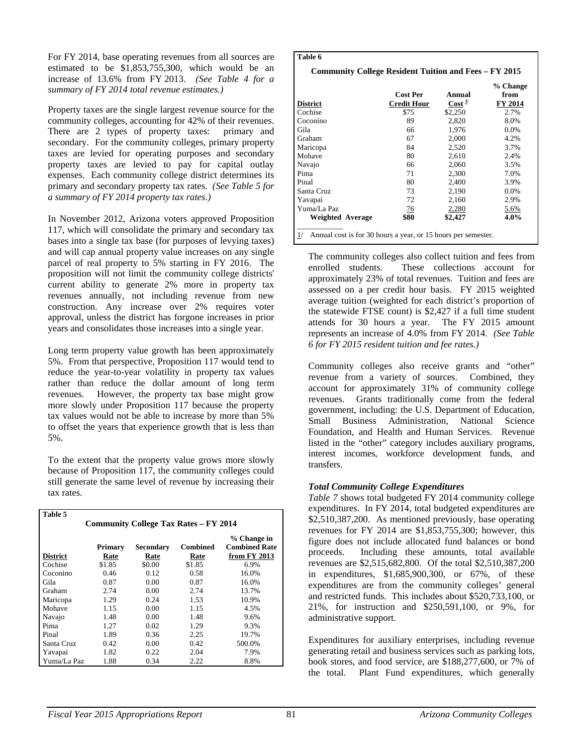For FY 2014, base operating revenues from all sources are estimated to be \$1,853,755,300, which would be an increase of 13.6% from FY 2013. *(See Table 4 for a summary of FY 2014 total revenue estimates.)* 

Property taxes are the single largest revenue source for the community colleges, accounting for 42% of their revenues. There are 2 types of property taxes: primary and secondary. For the community colleges, primary property taxes are levied for operating purposes and secondary property taxes are levied to pay for capital outlay expenses. Each community college district determines its primary and secondary property tax rates. *(See Table 5 for a summary of FY 2014 property tax rates.)* 

In November 2012, Arizona voters approved Proposition 117, which will consolidate the primary and secondary tax bases into a single tax base (for purposes of levying taxes) and will cap annual property value increases on any single parcel of real property to 5% starting in FY 2016. The proposition will not limit the community college districts' current ability to generate 2% more in property tax revenues annually, not including revenue from new construction. Any increase over 2% requires voter approval, unless the district has forgone increases in prior years and consolidates those increases into a single year.

Long term property value growth has been approximately 5%. From that perspective, Proposition 117 would tend to reduce the year-to-year volatility in property tax values rather than reduce the dollar amount of long term revenues. However, the property tax base might grow more slowly under Proposition 117 because the property tax values would not be able to increase by more than 5% to offset the years that experience growth that is less than 5%.

To the extent that the property value grows more slowly because of Proposition 117, the community colleges could still generate the same level of revenue by increasing their tax rates.

| Table 5                                      |         |           |          |                                     |  |
|----------------------------------------------|---------|-----------|----------|-------------------------------------|--|
| <b>Community College Tax Rates – FY 2014</b> |         |           |          |                                     |  |
|                                              | Primary | Secondary | Combined | % Change in<br><b>Combined Rate</b> |  |
| <b>District</b>                              | Rate    | Rate      | Rate     | from FY 2013                        |  |
| Cochise                                      | \$1.85  | \$0.00    | \$1.85   | 6.9%                                |  |
| Coconino                                     | 0.46    | 0.12      | 0.58     | 16.0%                               |  |
| Gila                                         | 0.87    | 0.00      | 0.87     | 16.0%                               |  |
| Graham                                       | 2.74    | 0.00      | 2.74     | 13.7%                               |  |
| Maricopa                                     | 1.29    | 0.24      | 1.53     | 10.9%                               |  |
| Mohave                                       | 1.15    | 0.00      | 1.15     | 4.5%                                |  |
| Navajo                                       | 1.48    | 0.00      | 1.48     | 9.6%                                |  |
| Pima                                         | 1.27    | 0.02      | 1.29     | 9.3%                                |  |
| Pinal                                        | 1.89    | 0.36      | 2.25     | 19.7%                               |  |
| Santa Cruz                                   | 0.42    | 0.00      | 0.42     | 500.0%                              |  |
| Yavapai                                      | 1.82    | 0.22      | 2.04     | 7.9%                                |  |
| Yuma/La Paz                                  | 1.88    | 0.34      | 2.22     | 8.8%                                |  |

### **Table 6**

| <b>District</b>                                                     | <b>Cost Per</b><br><b>Credit Hour</b> | Annual<br>Cost <sup>1</sup> | % Change<br>from<br>FY 2014 |  |  |
|---------------------------------------------------------------------|---------------------------------------|-----------------------------|-----------------------------|--|--|
| Cochise                                                             | \$75                                  | \$2,250                     | 2.7%                        |  |  |
| Coconino                                                            | 89                                    | 2,820                       | 8.0%                        |  |  |
| Gila                                                                | 66                                    | 1,976                       | 0.0%                        |  |  |
| Graham                                                              | 67                                    | 2,000                       | 4.2%                        |  |  |
| Maricopa                                                            | 84                                    | 2,520                       | 3.7%                        |  |  |
| Mohave                                                              | 80                                    | 2,610                       | 2.4%                        |  |  |
| Navajo                                                              | 66                                    | 2,060                       | 3.5%                        |  |  |
| Pima                                                                | 71                                    | 2,300                       | 7.0%                        |  |  |
| Pinal                                                               | 80                                    | 2,400                       | 3.9%                        |  |  |
| Santa Cruz                                                          | 73                                    | 2,190                       | 0.0%                        |  |  |
| Yavapai                                                             | 72                                    | 2,160                       | 2.9%                        |  |  |
| Yuma/La Paz                                                         | 76                                    | 2,280                       | 5.6%                        |  |  |
| <b>Weighted Average</b>                                             | \$80                                  | \$2,427                     | 4.0%                        |  |  |
| 1/<br>Annual cost is for 30 hours a year, or 15 hours per semester. |                                       |                             |                             |  |  |

The community colleges also collect tuition and fees from enrolled students. These collections account for approximately 23% of total revenues. Tuition and fees are assessed on a per credit hour basis. FY 2015 weighted average tuition (weighted for each district's proportion of the statewide FTSE count) is \$2,427 if a full time student attends for 30 hours a year. The FY 2015 amount represents an increase of 4.0% from FY 2014. *(See Table 6 for FY 2015 resident tuition and fee rates.)* 

Community colleges also receive grants and "other" revenue from a variety of sources. Combined, they account for approximately 31% of community college revenues. Grants traditionally come from the federal government, including: the U.S. Department of Education, Small Business Administration, National Science Foundation, and Health and Human Services. Revenue listed in the "other" category includes auxiliary programs, interest incomes, workforce development funds, and transfers.

# *Total Community College Expenditures*

*Table 7* shows total budgeted FY 2014 community college expenditures. In FY 2014, total budgeted expenditures are \$2,510,387,200. As mentioned previously, base operating revenues for FY 2014 are \$1,853,755,300; however, this figure does not include allocated fund balances or bond proceeds. Including these amounts, total available revenues are \$2,515,682,800. Of the total \$2,510,387,200 in expenditures, \$1,685,900,300, or 67%, of these expenditures are from the community colleges' general and restricted funds. This includes about \$520,733,100, or 21%, for instruction and \$250,591,100, or 9%, for administrative support.

Expenditures for auxiliary enterprises, including revenue generating retail and business services such as parking lots, book stores, and food service, are \$188,277,600, or 7% of the total. Plant Fund expenditures, which generally